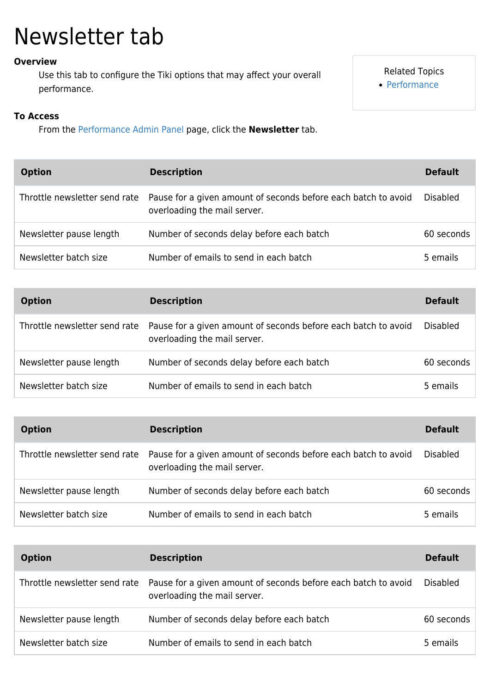## Newsletter tab

## **Overview**

Use this tab to configure the Tiki options that may affect your overall performance.

## Related Topics [Performance](https://doc.tiki.org/Performance)

## **To Access**

From the [Performance Admin Panel](https://doc.tiki.org/Performance-Admin-Panel) page, click the **Newsletter** tab.

| <b>Option</b>           | <b>Description</b>                                                                                                           | <b>Default</b>  |
|-------------------------|------------------------------------------------------------------------------------------------------------------------------|-----------------|
|                         | Throttle newsletter send rate Pause for a given amount of seconds before each batch to avoid<br>overloading the mail server. | <b>Disabled</b> |
| Newsletter pause length | Number of seconds delay before each batch                                                                                    | 60 seconds      |
| Newsletter batch size   | Number of emails to send in each batch                                                                                       | 5 emails        |

| <b>Option</b>                 | <b>Description</b>                                                                             | <b>Default</b>  |
|-------------------------------|------------------------------------------------------------------------------------------------|-----------------|
| Throttle newsletter send rate | Pause for a given amount of seconds before each batch to avoid<br>overloading the mail server. | <b>Disabled</b> |
| Newsletter pause length       | Number of seconds delay before each batch                                                      | 60 seconds      |
| Newsletter batch size         | Number of emails to send in each batch                                                         | 5 emails        |

| <b>Option</b>           | <b>Description</b>                                                                                                           | <b>Default</b>  |
|-------------------------|------------------------------------------------------------------------------------------------------------------------------|-----------------|
|                         | Throttle newsletter send rate Pause for a given amount of seconds before each batch to avoid<br>overloading the mail server. | <b>Disabled</b> |
| Newsletter pause length | Number of seconds delay before each batch                                                                                    | 60 seconds      |
| Newsletter batch size   | Number of emails to send in each batch                                                                                       | 5 emails        |

| <b>Option</b>           | <b>Description</b>                                                                                                           | <b>Default</b>  |
|-------------------------|------------------------------------------------------------------------------------------------------------------------------|-----------------|
|                         | Throttle newsletter send rate Pause for a given amount of seconds before each batch to avoid<br>overloading the mail server. | <b>Disabled</b> |
| Newsletter pause length | Number of seconds delay before each batch                                                                                    | 60 seconds      |
| Newsletter batch size   | Number of emails to send in each batch                                                                                       | 5 emails        |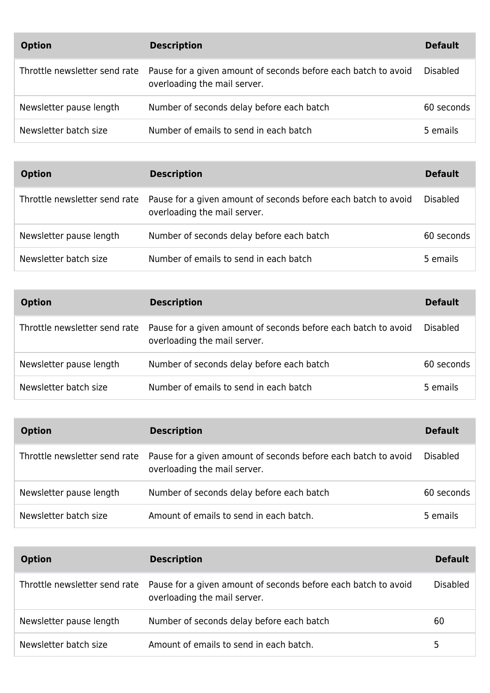| <b>Option</b>           | <b>Description</b>                                                                                                           | <b>Default</b>  |
|-------------------------|------------------------------------------------------------------------------------------------------------------------------|-----------------|
|                         | Throttle newsletter send rate Pause for a given amount of seconds before each batch to avoid<br>overloading the mail server. | <b>Disabled</b> |
| Newsletter pause length | Number of seconds delay before each batch                                                                                    | 60 seconds      |
| Newsletter batch size   | Number of emails to send in each batch                                                                                       | 5 emails        |

| <b>Option</b>           | <b>Description</b>                                                                                                           | <b>Default</b>  |
|-------------------------|------------------------------------------------------------------------------------------------------------------------------|-----------------|
|                         | Throttle newsletter send rate Pause for a given amount of seconds before each batch to avoid<br>overloading the mail server. | <b>Disabled</b> |
| Newsletter pause length | Number of seconds delay before each batch                                                                                    | 60 seconds      |
| Newsletter batch size   | Number of emails to send in each batch                                                                                       | 5 emails        |

| <b>Option</b>           | <b>Description</b>                                                                                                           | <b>Default</b>  |
|-------------------------|------------------------------------------------------------------------------------------------------------------------------|-----------------|
|                         | Throttle newsletter send rate Pause for a given amount of seconds before each batch to avoid<br>overloading the mail server. | <b>Disabled</b> |
| Newsletter pause length | Number of seconds delay before each batch                                                                                    | 60 seconds      |
| Newsletter batch size   | Number of emails to send in each batch                                                                                       | 5 emails        |

| <b>Option</b>           | <b>Description</b>                                                                                                           | <b>Default</b>  |
|-------------------------|------------------------------------------------------------------------------------------------------------------------------|-----------------|
|                         | Throttle newsletter send rate Pause for a given amount of seconds before each batch to avoid<br>overloading the mail server. | <b>Disabled</b> |
| Newsletter pause length | Number of seconds delay before each batch                                                                                    | 60 seconds      |
| Newsletter batch size   | Amount of emails to send in each batch.                                                                                      | 5 emails        |

| <b>Option</b>           | <b>Description</b>                                                                                                           | <b>Default</b>  |
|-------------------------|------------------------------------------------------------------------------------------------------------------------------|-----------------|
|                         | Throttle newsletter send rate Pause for a given amount of seconds before each batch to avoid<br>overloading the mail server. | <b>Disabled</b> |
| Newsletter pause length | Number of seconds delay before each batch                                                                                    | 60              |
| Newsletter batch size   | Amount of emails to send in each batch.                                                                                      | 5               |